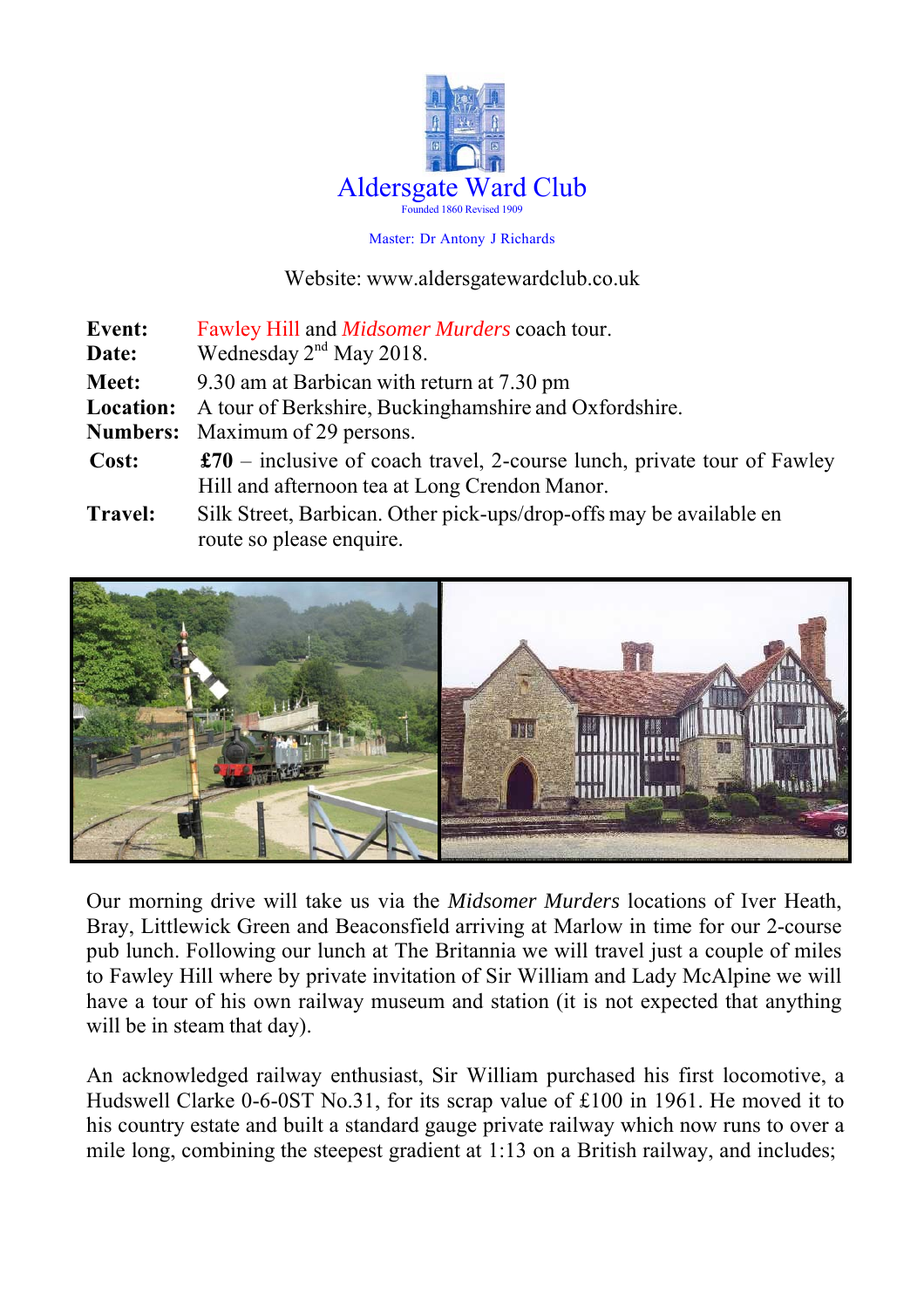

#### Master: Dr Antony J Richards

#### Website: www.aldersgatewardclub.co.uk

| <b>Event:</b>    | Fawley Hill and <i>Midsomer Murders</i> coach tour.                              |  |
|------------------|----------------------------------------------------------------------------------|--|
| Date:            | Wednesday $2nd$ May 2018.                                                        |  |
| Meet:            | 9.30 am at Barbican with return at 7.30 pm                                       |  |
| <b>Location:</b> | A tour of Berkshire, Buckinghamshire and Oxfordshire.                            |  |
|                  | <b>Numbers:</b> Maximum of 29 persons.                                           |  |
| Cost:            | $\pounds 70$ – inclusive of coach travel, 2-course lunch, private tour of Fawley |  |
|                  | Hill and afternoon tea at Long Crendon Manor.                                    |  |
| <b>Travel:</b>   | Silk Street, Barbican. Other pick-ups/drop-offs may be available en              |  |
|                  | route so please enquire.                                                         |  |



Our morning drive will take us via the *Midsomer Murders* locations of Iver Heath, Bray, Littlewick Green and Beaconsfield arriving at Marlow in time for our 2-course pub lunch. Following our lunch at The Britannia we will travel just a couple of miles to Fawley Hill where by private invitation of Sir William and Lady McAlpine we will have a tour of his own railway museum and station (it is not expected that anything will be in steam that day).

An acknowledged railway enthusiast, Sir William purchased his first locomotive, a Hudswell Clarke 0-6-0ST No.31, for its scrap value of £100 in 1961. He moved it to his country estate and built a standard gauge private railway which now runs to over a mile long, combining the steepest gradient at 1:13 on a British railway, and includes;